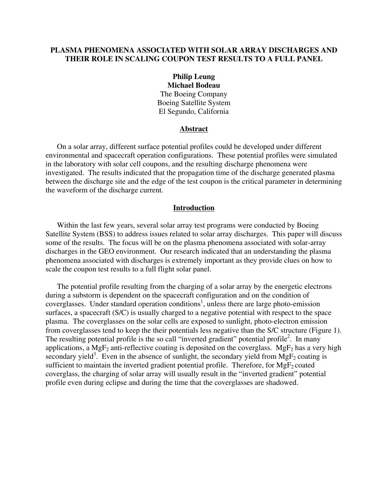### **PLASMA PHENOMENA ASSOCIATED WITH SOLAR ARRAY DISCHARGES AND THEIR ROLE IN SCALING COUPON TEST RESULTS TO A FULL PANEL**

## **Philip Leung Michael Bodeau**  The Boeing Company Boeing Satellite System El Segundo, California

### **Abstract**

On a solar array, different surface potential profiles could be developed under different environmental and spacecraft operation configurations. These potential profiles were simulated in the laboratory with solar cell coupons, and the resulting discharge phenomena were investigated. The results indicated that the propagation time of the discharge generated plasma between the discharge site and the edge of the test coupon is the critical parameter in determining the waveform of the discharge current.

### **Introduction**

Within the last few years, several solar array test programs were conducted by Boeing Satellite System (BSS) to address issues related to solar array discharges. This paper will discuss some of the results. The focus will be on the plasma phenomena associated with solar-array discharges in the GEO environment. Our research indicated that an understanding the plasma phenomena associated with discharges is extremely important as they provide clues on how to scale the coupon test results to a full flight solar panel.

The potential profile resulting from the charging of a solar array by the energetic electrons during a substorm is dependent on the spacecraft configuration and on the condition of coverglasses. Under standard operation conditions<sup>1</sup>, unless there are large photo-emission surfaces, a spacecraft (S/C) is usually charged to a negative potential with respect to the space plasma. The coverglasses on the solar cells are exposed to sunlight, photo-electron emission from coverglasses tend to keep the their potentials less negative than the S/C structure (Figure 1). The resulting potential profile is the so call "inverted gradient" potential profile<sup>2</sup>. In many applications, a MgF<sub>2</sub> anti-reflective coating is deposited on the coverglass. MgF<sub>2</sub> has a very high secondary yield<sup>3</sup>. Even in the absence of sunlight, the secondary yield from  $MgF_2$  coating is sufficient to maintain the inverted gradient potential profile. Therefore, for  $MgF_2$  coated coverglass, the charging of solar array will usually result in the "inverted gradient" potential profile even during eclipse and during the time that the coverglasses are shadowed.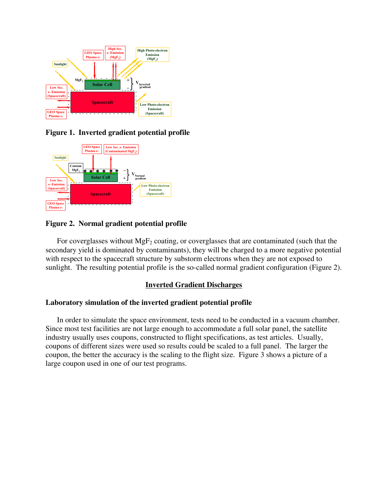

**Figure 1. Inverted gradient potential profile** 



# **Figure 2. Normal gradient potential profile**

For coverglasses without  $MgF_2$  coating, or coverglasses that are contaminated (such that the secondary yield is dominated by contaminants), they will be charged to a more negative potential with respect to the spacecraft structure by substorm electrons when they are not exposed to sunlight. The resulting potential profile is the so-called normal gradient configuration (Figure 2).

# **Inverted Gradient Discharges**

# **Laboratory simulation of the inverted gradient potential profile**

In order to simulate the space environment, tests need to be conducted in a vacuum chamber. Since most test facilities are not large enough to accommodate a full solar panel, the satellite industry usually uses coupons, constructed to flight specifications, as test articles. Usually, coupons of different sizes were used so results could be scaled to a full panel. The larger the coupon, the better the accuracy is the scaling to the flight size. Figure 3 shows a picture of a large coupon used in one of our test programs.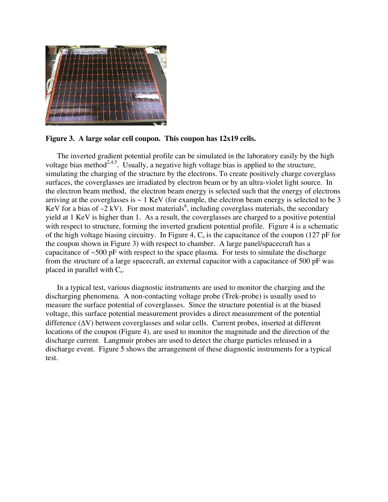

### **Figure 3. A large solar cell coupon. This coupon has 12x19 cells.**

The inverted gradient potential profile can be simulated in the laboratory easily by the high voltage bias method<sup>2,4,5</sup>. Usually, a negative high voltage bias is applied to the structure, simulating the charging of the structure by the electrons. To create positively charge coverglass surfaces, the coverglasses are irradiated by electron beam or by an ultra-violet light source. In the electron beam method, the electron beam energy is selected such that the energy of electrons arriving at the coverglasses is  $\sim 1$  KeV (for example, the electron beam energy is selected to be 3 KeV for a bias of  $-2$  kV). For most materials<sup>6</sup>, including coverglass materials, the secondary yield at 1 KeV is higher than 1. As a result, the coverglasses are charged to a positive potential with respect to structure, forming the inverted gradient potential profile. Figure 4 is a schematic of the high voltage biasing circuitry. In Figure 4,  $C_s$  is the capacitance of the coupon (127 pF for the coupon shown in Figure 3) with respect to chamber. A large panel/spacecraft has a capacitance of  $\sim$ 500 pF with respect to the space plasma. For tests to simulate the discharge from the structure of a large spacecraft, an external capacitor with a capacitance of 500 pF was placed in parallel with  $C_s$ .

In a typical test, various diagnostic instruments are used to monitor the charging and the discharging phenomena. A non-contacting voltage probe (Trek-probe) is usually used to measure the surface potential of coverglasses. Since the structure potential is at the biased voltage, this surface potential measurement provides a direct measurement of the potential difference (∆V) between coverglasses and solar cells. Current probes, inserted at different locations of the coupon (Figure 4), are used to monitor the magnitude and the direction of the discharge current. Langmuir probes are used to detect the charge particles released in a discharge event. Figure 5 shows the arrangement of these diagnostic instruments for a typical test.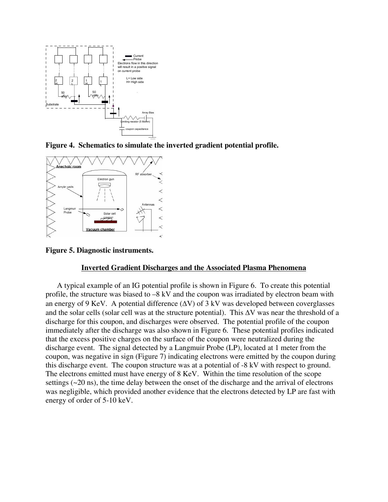

**Figure 4. Schematics to simulate the inverted gradient potential profile.** 



**Figure 5. Diagnostic instruments.** 

## **Inverted Gradient Discharges and the Associated Plasma Phenomena**

A typical example of an IG potential profile is shown in Figure 6. To create this potential profile, the structure was biased to –8 kV and the coupon was irradiated by electron beam with an energy of 9 KeV. A potential difference  $(\Delta V)$  of 3 kV was developed between coverglasses and the solar cells (solar cell was at the structure potential). This ∆V was near the threshold of a discharge for this coupon, and discharges were observed. The potential profile of the coupon immediately after the discharge was also shown in Figure 6. These potential profiles indicated that the excess positive charges on the surface of the coupon were neutralized during the discharge event. The signal detected by a Langmuir Probe (LP), located at 1 meter from the coupon, was negative in sign (Figure 7) indicating electrons were emitted by the coupon during this discharge event. The coupon structure was at a potential of -8 kV with respect to ground. The electrons emitted must have energy of 8 KeV. Within the time resolution of the scope settings (~20 ns), the time delay between the onset of the discharge and the arrival of electrons was negligible, which provided another evidence that the electrons detected by LP are fast with energy of order of 5-10 keV.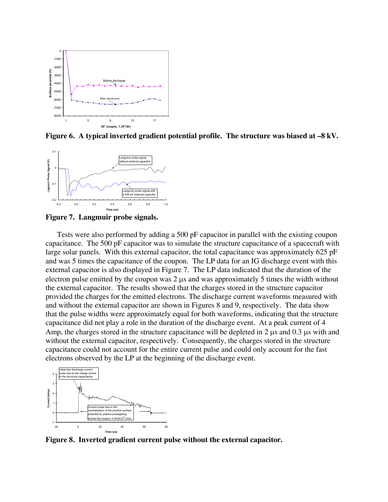

**Figure 6. A typical inverted gradient potential profile. The structure was biased at –8 kV.** 



**Figure 7. Langmuir probe signals.** 

Tests were also performed by adding a 500 pF capacitor in parallel with the existing coupon capacitance. The 500 pF capacitor was to simulate the structure capacitance of a spacecraft with large solar panels. With this external capacitor, the total capacitance was approximately 625 pF and was 5 times the capacitance of the coupon. The LP data for an IG discharge event with this external capacitor is also displayed in Figure 7. The LP data indicated that the duration of the electron pulse emitted by the coupon was 2 µs and was approximately 5 times the width without the external capacitor. The results showed that the charges stored in the structure capacitor provided the charges for the emitted electrons. The discharge current waveforms measured with and without the external capacitor are shown in Figures 8 and 9, respectively. The data show that the pulse widths were approximately equal for both waveforms, indicating that the structure capacitance did not play a role in the duration of the discharge event. At a peak current of 4 Amp, the charges stored in the structure capacitance will be depleted in 2  $\mu$ s and 0.3  $\mu$ s with and without the external capacitor, respectively. Consequently, the charges stored in the structure capacitance could not account for the entire current pulse and could only account for the fast electrons observed by the LP at the beginning of the discharge event.



**Figure 8. Inverted gradient current pulse without the external capacitor.**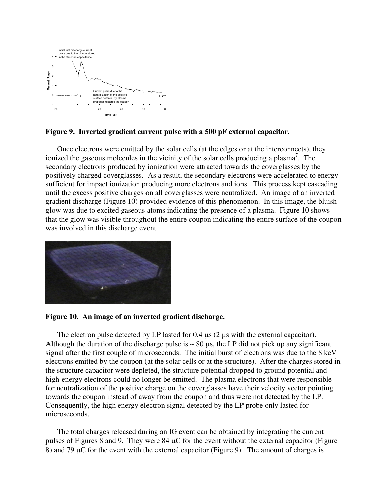

### **Figure 9. Inverted gradient current pulse with a 500 pF external capacitor.**

Once electrons were emitted by the solar cells (at the edges or at the interconnects), they ionized the gaseous molecules in the vicinity of the solar cells producing a plasma<sup>7</sup>. The secondary electrons produced by ionization were attracted towards the coverglasses by the positively charged coverglasses. As a result, the secondary electrons were accelerated to energy sufficient for impact ionization producing more electrons and ions. This process kept cascading until the excess positive charges on all coverglasses were neutralized. An image of an inverted gradient discharge (Figure 10) provided evidence of this phenomenon. In this image, the bluish glow was due to excited gaseous atoms indicating the presence of a plasma. Figure 10 shows that the glow was visible throughout the entire coupon indicating the entire surface of the coupon was involved in this discharge event.



### **Figure 10. An image of an inverted gradient discharge.**

The electron pulse detected by LP lasted for 0.4  $\mu$ s (2  $\mu$ s with the external capacitor). Although the duration of the discharge pulse is  $\sim 80 \,\mu s$ , the LP did not pick up any significant signal after the first couple of microseconds. The initial burst of electrons was due to the 8 keV electrons emitted by the coupon (at the solar cells or at the structure). After the charges stored in the structure capacitor were depleted, the structure potential dropped to ground potential and high-energy electrons could no longer be emitted. The plasma electrons that were responsible for neutralization of the positive charge on the coverglasses have their velocity vector pointing towards the coupon instead of away from the coupon and thus were not detected by the LP. Consequently, the high energy electron signal detected by the LP probe only lasted for microseconds.

The total charges released during an IG event can be obtained by integrating the current pulses of Figures 8 and 9. They were 84 µC for the event without the external capacitor (Figure 8) and 79 µC for the event with the external capacitor (Figure 9). The amount of charges is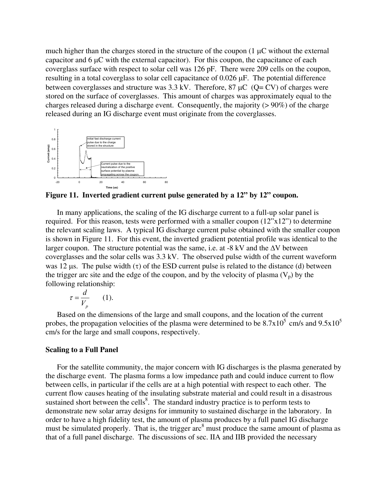much higher than the charges stored in the structure of the coupon  $(1 \mu C)$  without the external capacitor and 6 µC with the external capacitor). For this coupon, the capacitance of each coverglass surface with respect to solar cell was 126 pF. There were 209 cells on the coupon, resulting in a total coverglass to solar cell capacitance of 0.026 µF. The potential difference between coverglasses and structure was  $3.3 \text{ kV}$ . Therefore,  $87 \mu C$  (Q= CV) of charges were stored on the surface of coverglasses. This amount of charges was approximately equal to the charges released during a discharge event. Consequently, the majority (> 90%) of the charge released during an IG discharge event must originate from the coverglasses.



**Figure 11. Inverted gradient current pulse generated by a 12" by 12" coupon.** 

In many applications, the scaling of the IG discharge current to a full-up solar panel is required. For this reason, tests were performed with a smaller coupon (12"x12") to determine the relevant scaling laws. A typical IG discharge current pulse obtained with the smaller coupon is shown in Figure 11. For this event, the inverted gradient potential profile was identical to the larger coupon. The structure potential was the same, i.e. at -8 kV and the  $\Delta V$  between coverglasses and the solar cells was 3.3 kV. The observed pulse width of the current waveform was 12  $\mu$ s. The pulse width (τ) of the ESD current pulse is related to the distance (d) between the trigger arc site and the edge of the coupon, and by the velocity of plasma  $(V_p)$  by the following relationship:

$$
\tau = \frac{d}{V_p} \qquad (1).
$$

Based on the dimensions of the large and small coupons, and the location of the current probes, the propagation velocities of the plasma were determined to be  $8.7x10^5$  cm/s and  $9.5x10^5$ cm/s for the large and small coupons, respectively.

#### **Scaling to a Full Panel**

For the satellite community, the major concern with IG discharges is the plasma generated by the discharge event. The plasma forms a low impedance path and could induce current to flow between cells, in particular if the cells are at a high potential with respect to each other. The current flow causes heating of the insulating substrate material and could result in a disastrous sustained short between the cells $8$ . The standard industry practice is to perform tests to demonstrate new solar array designs for immunity to sustained discharge in the laboratory. In order to have a high fidelity test, the amount of plasma produces by a full panel IG discharge must be simulated properly. That is, the trigger  $\arcsin^8$  must produce the same amount of plasma as that of a full panel discharge. The discussions of sec. IIA and IIB provided the necessary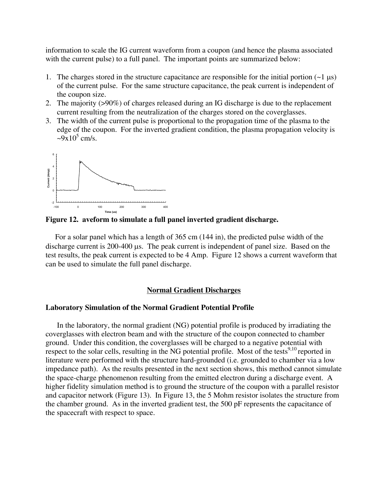information to scale the IG current waveform from a coupon (and hence the plasma associated with the current pulse) to a full panel. The important points are summarized below:

- 1. The charges stored in the structure capacitance are responsible for the initial portion  $(-1 \mu s)$ of the current pulse. For the same structure capacitance, the peak current is independent of the coupon size.
- 2. The majority (>90%) of charges released during an IG discharge is due to the replacement current resulting from the neutralization of the charges stored on the coverglasses.
- 3. The width of the current pulse is proportional to the propagation time of the plasma to the edge of the coupon. For the inverted gradient condition, the plasma propagation velocity is  $\approx 9x10^5$  cm/s.



**Figure 12. aveform to simulate a full panel inverted gradient discharge.** 

 For a solar panel which has a length of 365 cm (144 in), the predicted pulse width of the discharge current is 200-400 µs. The peak current is independent of panel size. Based on the test results, the peak current is expected to be 4 Amp. Figure 12 shows a current waveform that can be used to simulate the full panel discharge.

#### **Normal Gradient Discharges**

### **Laboratory Simulation of the Normal Gradient Potential Profile**

In the laboratory, the normal gradient (NG) potential profile is produced by irradiating the coverglasses with electron beam and with the structure of the coupon connected to chamber ground. Under this condition, the coverglasses will be charged to a negative potential with respect to the solar cells, resulting in the NG potential profile. Most of the tests<sup>9,10</sup> reported in literature were performed with the structure hard-grounded (i.e. grounded to chamber via a low impedance path). As the results presented in the next section shows, this method cannot simulate the space-charge phenomenon resulting from the emitted electron during a discharge event. A higher fidelity simulation method is to ground the structure of the coupon with a parallel resistor and capacitor network (Figure 13). In Figure 13, the 5 Mohm resistor isolates the structure from the chamber ground. As in the inverted gradient test, the 500 pF represents the capacitance of the spacecraft with respect to space.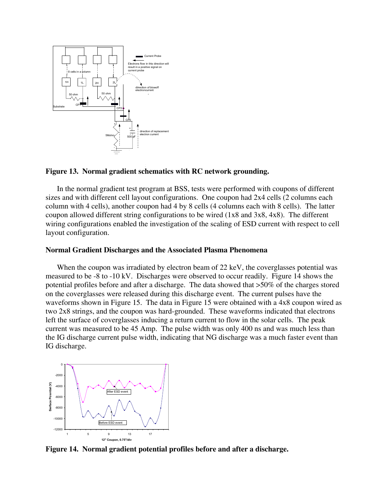

## **Figure 13. Normal gradient schematics with RC network grounding.**

 In the normal gradient test program at BSS, tests were performed with coupons of different sizes and with different cell layout configurations. One coupon had 2x4 cells (2 columns each column with 4 cells), another coupon had 4 by 8 cells (4 columns each with 8 cells). The latter coupon allowed different string configurations to be wired (1x8 and 3x8, 4x8). The different wiring configurations enabled the investigation of the scaling of ESD current with respect to cell layout configuration.

#### **Normal Gradient Discharges and the Associated Plasma Phenomena**

When the coupon was irradiated by electron beam of 22 keV, the coverglasses potential was measured to be -8 to -10 kV. Discharges were observed to occur readily. Figure 14 shows the potential profiles before and after a discharge. The data showed that >50% of the charges stored on the coverglasses were released during this discharge event. The current pulses have the waveforms shown in Figure 15. The data in Figure 15 were obtained with a 4x8 coupon wired as two 2x8 strings, and the coupon was hard-grounded. These waveforms indicated that electrons left the surface of coverglasses inducing a return current to flow in the solar cells. The peak current was measured to be 45 Amp. The pulse width was only 400 ns and was much less than the IG discharge current pulse width, indicating that NG discharge was a much faster event than IG discharge.



**Figure 14. Normal gradient potential profiles before and after a discharge.**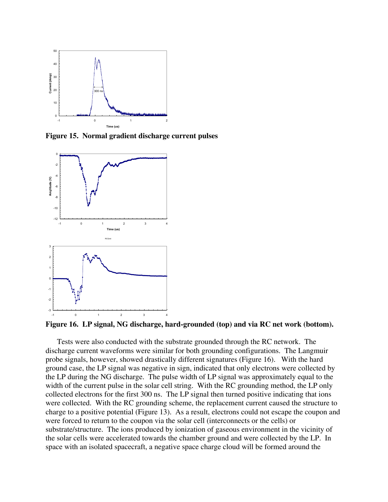

**Figure 15. Normal gradient discharge current pulses** 



**Figure 16. LP signal, NG discharge, hard-grounded (top) and via RC net work (bottom).** 

Tests were also conducted with the substrate grounded through the RC network. The discharge current waveforms were similar for both grounding configurations. The Langmuir probe signals, however, showed drastically different signatures (Figure 16). With the hard ground case, the LP signal was negative in sign, indicated that only electrons were collected by the LP during the NG discharge. The pulse width of LP signal was approximately equal to the width of the current pulse in the solar cell string. With the RC grounding method, the LP only collected electrons for the first 300 ns. The LP signal then turned positive indicating that ions were collected. With the RC grounding scheme, the replacement current caused the structure to charge to a positive potential (Figure 13). As a result, electrons could not escape the coupon and were forced to return to the coupon via the solar cell (interconnects or the cells) or substrate/structure. The ions produced by ionization of gaseous environment in the vicinity of the solar cells were accelerated towards the chamber ground and were collected by the LP. In space with an isolated spacecraft, a negative space charge cloud will be formed around the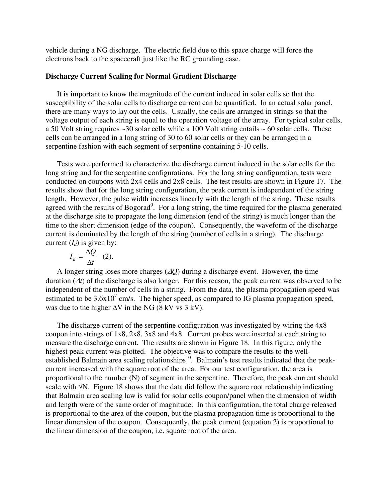vehicle during a NG discharge. The electric field due to this space charge will force the electrons back to the spacecraft just like the RC grounding case.

## **Discharge Current Scaling for Normal Gradient Discharge**

It is important to know the magnitude of the current induced in solar cells so that the susceptibility of the solar cells to discharge current can be quantified. In an actual solar panel, there are many ways to lay out the cells. Usually, the cells are arranged in strings so that the voltage output of each string is equal to the operation voltage of the array. For typical solar cells, a 50 Volt string requires ~30 solar cells while a 100 Volt string entails ~ 60 solar cells. These cells can be arranged in a long string of 30 to 60 solar cells or they can be arranged in a serpentine fashion with each segment of serpentine containing 5-10 cells.

Tests were performed to characterize the discharge current induced in the solar cells for the long string and for the serpentine configurations. For the long string configuration, tests were conducted on coupons with 2x4 cells and 2x8 cells. The test results are shown in Figure 17. The results show that for the long string configuration, the peak current is independent of the string length. However, the pulse width increases linearly with the length of the string. These results agreed with the results of Bogorad<sup>9</sup>. For a long string, the time required for the plasma generated at the discharge site to propagate the long dimension (end of the string) is much longer than the time to the short dimension (edge of the coupon). Consequently, the waveform of the discharge current is dominated by the length of the string (number of cells in a string). The discharge current  $(I_d)$  is given by:

$$
I_d = \frac{\Delta Q}{\Delta t} \quad (2).
$$

A longer string loses more charges (∆*Q*) during a discharge event. However, the time duration (∆*t*) of the discharge is also longer. For this reason, the peak current was observed to be independent of the number of cells in a string. From the data, the plasma propagation speed was estimated to be  $3.6x10^7$  cm/s. The higher speed, as compared to IG plasma propagation speed, was due to the higher  $\Delta V$  in the NG (8 kV vs 3 kV).

The discharge current of the serpentine configuration was investigated by wiring the 4x8 coupon into strings of 1x8, 2x8, 3x8 and 4x8. Current probes were inserted at each string to measure the discharge current. The results are shown in Figure 18. In this figure, only the highest peak current was plotted. The objective was to compare the results to the wellestablished Balmain area scaling relationships<sup>10</sup>. Balmain's test results indicated that the peakcurrent increased with the square root of the area. For our test configuration, the area is proportional to the number (N) of segment in the serpentine. Therefore, the peak current should scale with  $\sqrt{N}$ . Figure 18 shows that the data did follow the square root relationship indicating that Balmain area scaling law is valid for solar cells coupon/panel when the dimension of width and length were of the same order of magnitude. In this configuration, the total charge released is proportional to the area of the coupon, but the plasma propagation time is proportional to the linear dimension of the coupon. Consequently, the peak current (equation 2) is proportional to the linear dimension of the coupon, i.e. square root of the area.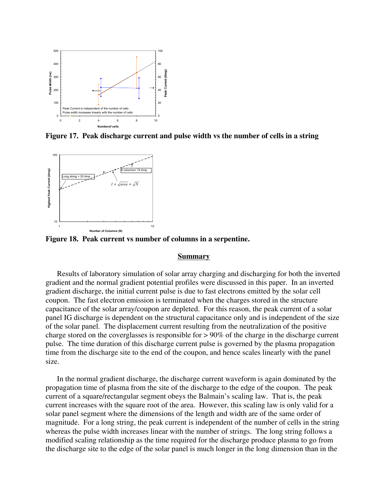

**Figure 17. Peak discharge current and pulse width vs the number of cells in a string** 



**Figure 18. Peak current vs number of columns in a serpentine.** 

#### **Summary**

Results of laboratory simulation of solar array charging and discharging for both the inverted gradient and the normal gradient potential profiles were discussed in this paper. In an inverted gradient discharge, the initial current pulse is due to fast electrons emitted by the solar cell coupon. The fast electron emission is terminated when the charges stored in the structure capacitance of the solar array/coupon are depleted. For this reason, the peak current of a solar panel IG discharge is dependent on the structural capacitance only and is independent of the size of the solar panel. The displacement current resulting from the neutralization of the positive charge stored on the coverglasses is responsible for > 90% of the charge in the discharge current pulse. The time duration of this discharge current pulse is governed by the plasma propagation time from the discharge site to the end of the coupon, and hence scales linearly with the panel size.

In the normal gradient discharge, the discharge current waveform is again dominated by the propagation time of plasma from the site of the discharge to the edge of the coupon. The peak current of a square/rectangular segment obeys the Balmain's scaling law. That is, the peak current increases with the square root of the area. However, this scaling law is only valid for a solar panel segment where the dimensions of the length and width are of the same order of magnitude. For a long string, the peak current is independent of the number of cells in the string whereas the pulse width increases linear with the number of strings. The long string follows a modified scaling relationship as the time required for the discharge produce plasma to go from the discharge site to the edge of the solar panel is much longer in the long dimension than in the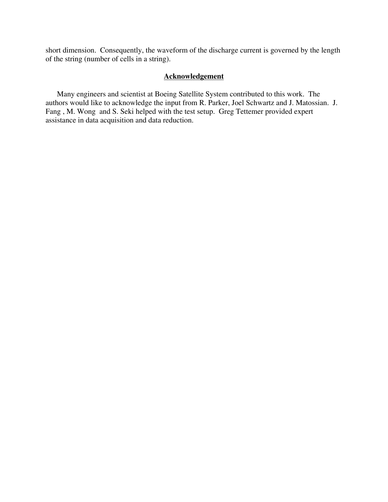short dimension. Consequently, the waveform of the discharge current is governed by the length of the string (number of cells in a string).

# **Acknowledgement**

Many engineers and scientist at Boeing Satellite System contributed to this work. The authors would like to acknowledge the input from R. Parker, Joel Schwartz and J. Matossian. J. Fang , M. Wong and S. Seki helped with the test setup. Greg Tettemer provided expert assistance in data acquisition and data reduction.